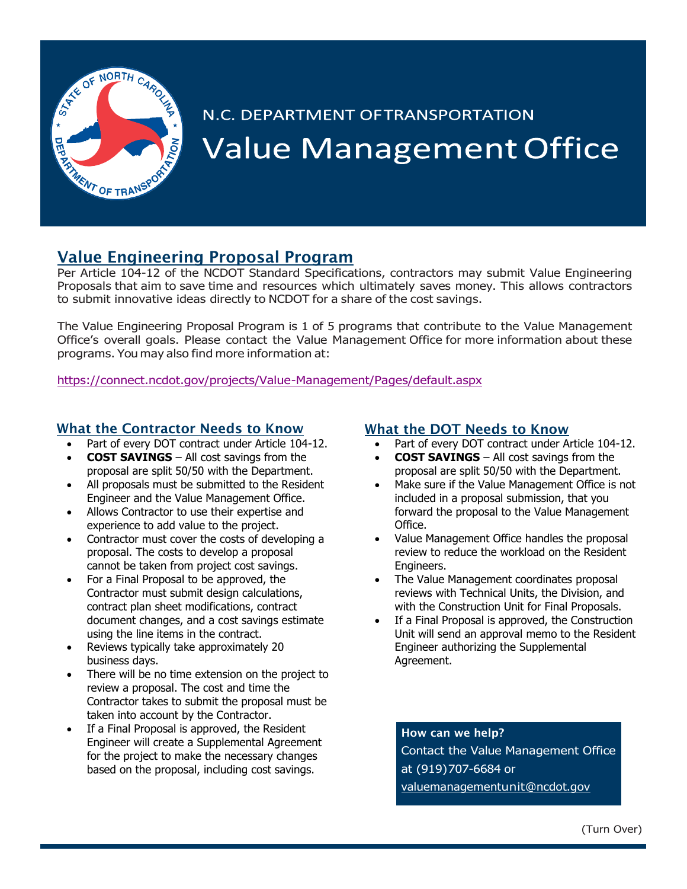

# N.C. DEPARTMENT OFTRANSPORTATION **Value Management Office**

## Value Engineering Proposal Program

Per Article 104-12 of the NCDOT Standard Specifications, contractors may submit Value Engineering Proposals that aim to save time and resources which ultimately saves money. This allows contractors to submit innovative ideas directly to NCDOT for a share of the cost savings.

The Value Engineering Proposal Program is 1 of 5 programs that contribute to the Value Management Office's overall goals. Please contact the Value Management Office for more information about these programs. You may also find more information at:

<https://connect.ncdot.gov/projects/Value-Management/Pages/default.aspx>

#### What the Contractor Needs to Know

- Part of every DOT contract under Article 104-12.
- **COST SAVINGS** All cost savings from the
- proposal are split 50/50 with the Department. • All proposals must be submitted to the Resident Engineer and the Value Management Office.
- Allows Contractor to use their expertise and experience to add value to the project.
- Contractor must cover the costs of developing a proposal. The costs to develop a proposal cannot be taken from project cost savings.
- For a Final Proposal to be approved, the Contractor must submit design calculations, contract plan sheet modifications, contract document changes, and a cost savings estimate using the line items in the contract.
- Reviews typically take approximately 20 business days.
- There will be no time extension on the project to review a proposal. The cost and time the Contractor takes to submit the proposal must be taken into account by the Contractor.
- If a Final Proposal is approved, the Resident Engineer will create a Supplemental Agreement for the project to make the necessary changes based on the proposal, including cost savings.

## What the DOT Needs to Know

- Part of every DOT contract under Article 104-12.
- **COST SAVINGS** All cost savings from the proposal are split 50/50 with the Department.
- Make sure if the Value Management Office is not included in a proposal submission, that you forward the proposal to the Value Management Office.
- Value Management Office handles the proposal review to reduce the workload on the Resident Engineers.
- The Value Management coordinates proposal reviews with Technical Units, the Division, and with the Construction Unit for Final Proposals.
- If a Final Proposal is approved, the Construction Unit will send an approval memo to the Resident Engineer authorizing the Supplemental Agreement.

How can we help? Contact the Value Management Office at (919)707-6684 or [valuemanagement](mailto:valuemanagementunit@ncdot.gov)unit@ncdot.gov